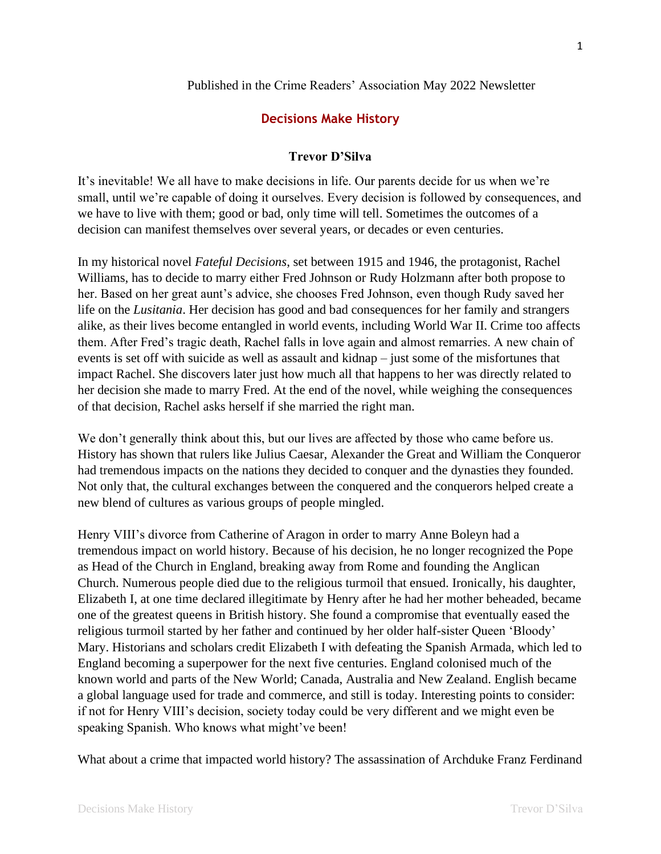## Published in the Crime Readers' Association May 2022 Newsletter

## **Decisions Make History**

## **Trevor D'Silva**

It's inevitable! We all have to make decisions in life. Our parents decide for us when we're small, until we're capable of doing it ourselves. Every decision is followed by consequences, and we have to live with them; good or bad, only time will tell. Sometimes the outcomes of a decision can manifest themselves over several years, or decades or even centuries.

In my historical novel *Fateful Decisions*, set between 1915 and 1946, the protagonist, Rachel Williams, has to decide to marry either Fred Johnson or Rudy Holzmann after both propose to her. Based on her great aunt's advice, she chooses Fred Johnson, even though Rudy saved her life on the *Lusitania*. Her decision has good and bad consequences for her family and strangers alike, as their lives become entangled in world events, including World War II. Crime too affects them. After Fred's tragic death, Rachel falls in love again and almost remarries. A new chain of events is set off with suicide as well as assault and kidnap – just some of the misfortunes that impact Rachel. She discovers later just how much all that happens to her was directly related to her decision she made to marry Fred. At the end of the novel, while weighing the consequences of that decision, Rachel asks herself if she married the right man.

We don't generally think about this, but our lives are affected by those who came before us. History has shown that rulers like Julius Caesar, Alexander the Great and William the Conqueror had tremendous impacts on the nations they decided to conquer and the dynasties they founded. Not only that, the cultural exchanges between the conquered and the conquerors helped create a new blend of cultures as various groups of people mingled.

Henry VIII's divorce from Catherine of Aragon in order to marry Anne Boleyn had a tremendous impact on world history. Because of his decision, he no longer recognized the Pope as Head of the Church in England, breaking away from Rome and founding the Anglican Church. Numerous people died due to the religious turmoil that ensued. Ironically, his daughter, Elizabeth I, at one time declared illegitimate by Henry after he had her mother beheaded, became one of the greatest queens in British history. She found a compromise that eventually eased the religious turmoil started by her father and continued by her older half-sister Queen 'Bloody' Mary. Historians and scholars credit Elizabeth I with defeating the Spanish Armada, which led to England becoming a superpower for the next five centuries. England colonised much of the known world and parts of the New World; Canada, Australia and New Zealand. English became a global language used for trade and commerce, and still is today. Interesting points to consider: if not for Henry VIII's decision, society today could be very different and we might even be speaking Spanish. Who knows what might've been!

What about a crime that impacted world history? The assassination of Archduke Franz Ferdinand